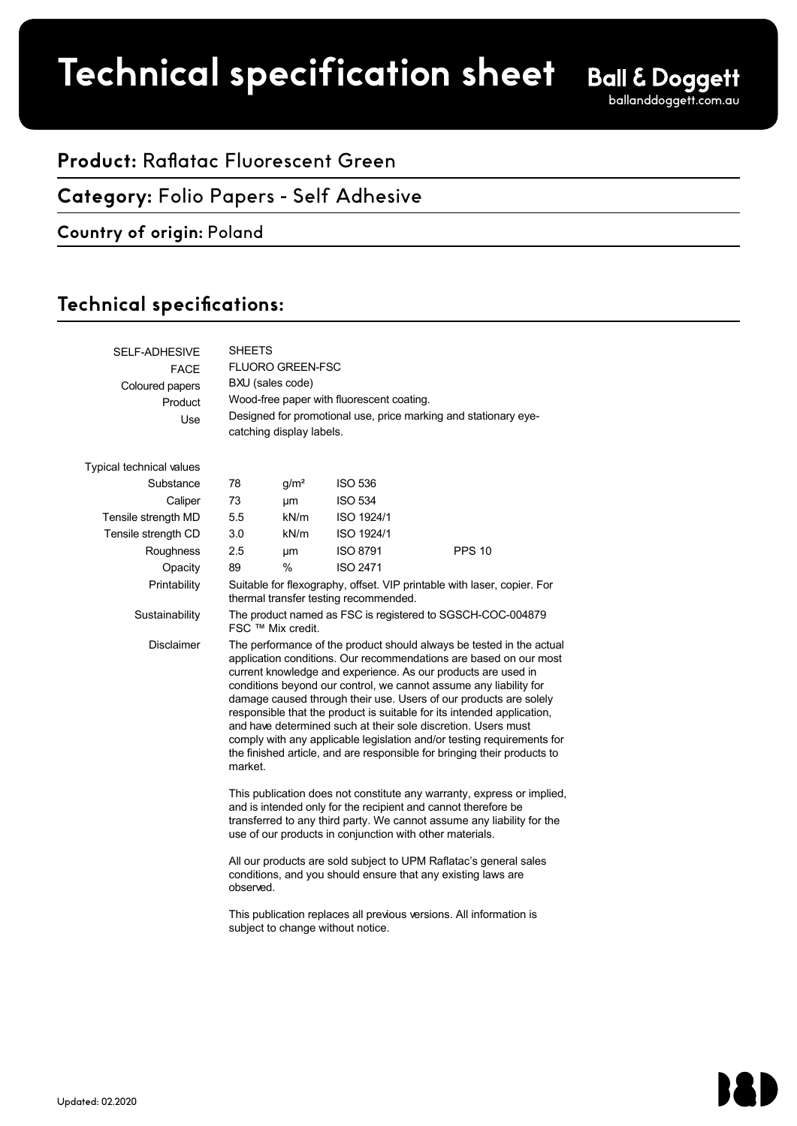# **Product spec sheet Technical specification sheet**

# **Product:** Raflatac Fluorescent Green

## **Category:** Folio Papers - Self Adhesive

### **Country of origin:** Poland

# Technical specifications:

| <b>SELF-ADHESIVE</b><br><b>FACE</b><br>Coloured papers<br>Product<br>Use | <b>SHEETS</b><br><b>FLUORO GREEN-FSC</b><br>BXU (sales code)<br>Wood-free paper with fluorescent coating.<br>Designed for promotional use, price marking and stationary eye-<br>catching display labels.                                                                                                                                                                                                                                                                                                                                                                                                                                                         |                  |                 |               |  |  |
|--------------------------------------------------------------------------|------------------------------------------------------------------------------------------------------------------------------------------------------------------------------------------------------------------------------------------------------------------------------------------------------------------------------------------------------------------------------------------------------------------------------------------------------------------------------------------------------------------------------------------------------------------------------------------------------------------------------------------------------------------|------------------|-----------------|---------------|--|--|
|                                                                          |                                                                                                                                                                                                                                                                                                                                                                                                                                                                                                                                                                                                                                                                  |                  |                 |               |  |  |
| Typical technical values                                                 |                                                                                                                                                                                                                                                                                                                                                                                                                                                                                                                                                                                                                                                                  |                  |                 |               |  |  |
| Substance                                                                | 78                                                                                                                                                                                                                                                                                                                                                                                                                                                                                                                                                                                                                                                               | g/m <sup>2</sup> | <b>ISO 536</b>  |               |  |  |
| Caliper                                                                  | 73                                                                                                                                                                                                                                                                                                                                                                                                                                                                                                                                                                                                                                                               | μm               | <b>ISO 534</b>  |               |  |  |
| Tensile strength MD                                                      | 5.5                                                                                                                                                                                                                                                                                                                                                                                                                                                                                                                                                                                                                                                              | kN/m             | ISO 1924/1      |               |  |  |
| Tensile strength CD                                                      | 3.0                                                                                                                                                                                                                                                                                                                                                                                                                                                                                                                                                                                                                                                              | kN/m             | ISO 1924/1      |               |  |  |
| Roughness                                                                | 2.5                                                                                                                                                                                                                                                                                                                                                                                                                                                                                                                                                                                                                                                              | μm               | <b>ISO 8791</b> | <b>PPS 10</b> |  |  |
| Opacity                                                                  | 89                                                                                                                                                                                                                                                                                                                                                                                                                                                                                                                                                                                                                                                               | $\%$             | <b>ISO 2471</b> |               |  |  |
| Printability                                                             | Suitable for flexography, offset. VIP printable with laser, copier. For<br>thermal transfer testing recommended.                                                                                                                                                                                                                                                                                                                                                                                                                                                                                                                                                 |                  |                 |               |  |  |
| Sustainability                                                           | The product named as FSC is registered to SGSCH-COC-004879<br>FSC ™ Mix credit.                                                                                                                                                                                                                                                                                                                                                                                                                                                                                                                                                                                  |                  |                 |               |  |  |
| <b>Disclaimer</b>                                                        | The performance of the product should always be tested in the actual<br>application conditions. Our recommendations are based on our most<br>current knowledge and experience. As our products are used in<br>conditions beyond our control, we cannot assume any liability for<br>damage caused through their use. Users of our products are solely<br>responsible that the product is suitable for its intended application,<br>and have determined such at their sole discretion. Users must<br>comply with any applicable legislation and/or testing requirements for<br>the finished article, and are responsible for bringing their products to<br>market. |                  |                 |               |  |  |
|                                                                          | This publication does not constitute any warranty, express or implied,<br>and is intended only for the recipient and cannot therefore be<br>transferred to any third party. We cannot assume any liability for the<br>use of our products in conjunction with other materials.                                                                                                                                                                                                                                                                                                                                                                                   |                  |                 |               |  |  |
|                                                                          | All our products are sold subject to UPM Raflatac's general sales<br>conditions, and you should ensure that any existing laws are<br>observed.                                                                                                                                                                                                                                                                                                                                                                                                                                                                                                                   |                  |                 |               |  |  |
|                                                                          | This publication replaces all previous versions. All information is<br>subject to change without notice.                                                                                                                                                                                                                                                                                                                                                                                                                                                                                                                                                         |                  |                 |               |  |  |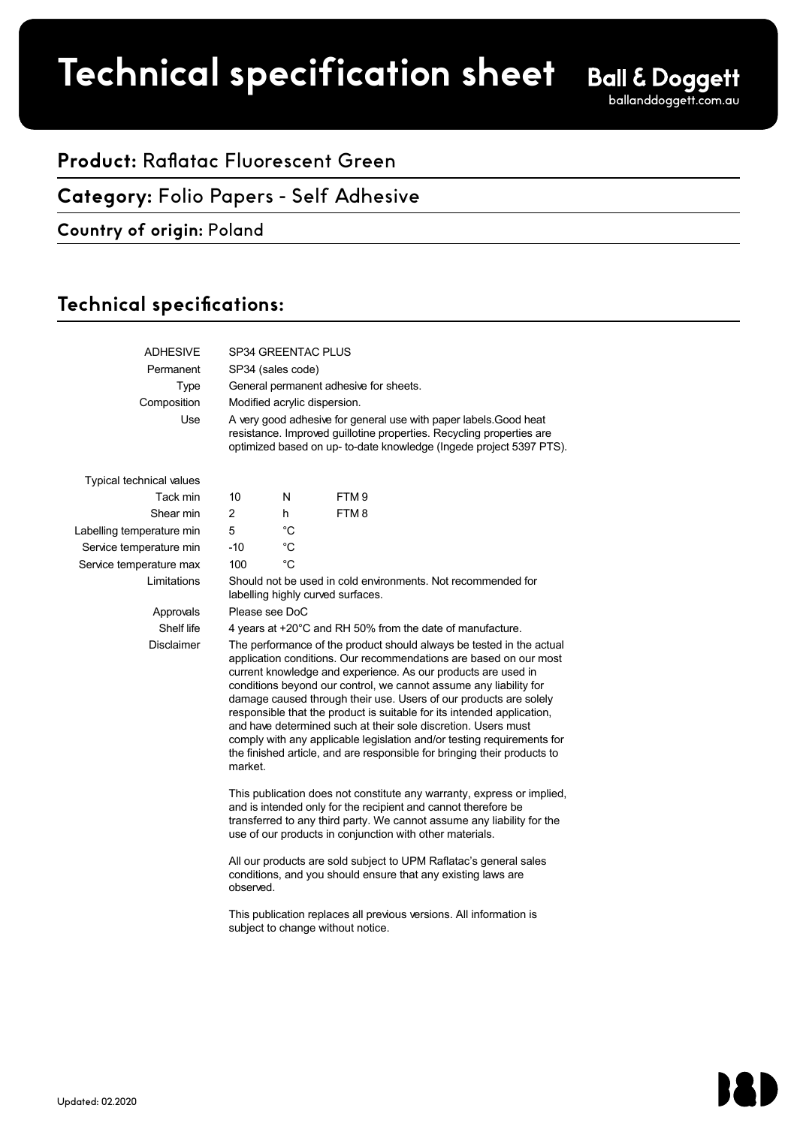# **Product spec sheet Technical specification sheet**

## **Product:** Raflatac Fluorescent Green

#### **Category:** Folio Papers - Self Adhesive

#### **Country of origin:** Poland

## Technical specifications:

| <b>ADHESIVE</b>                 | SP34 GREENTAC PLUS                                                                                                                                                                                                                                                                                                                                                                                                                                                                                                                                                                                                                                               |             |                  |  |  |
|---------------------------------|------------------------------------------------------------------------------------------------------------------------------------------------------------------------------------------------------------------------------------------------------------------------------------------------------------------------------------------------------------------------------------------------------------------------------------------------------------------------------------------------------------------------------------------------------------------------------------------------------------------------------------------------------------------|-------------|------------------|--|--|
| Permanent                       | SP34 (sales code)                                                                                                                                                                                                                                                                                                                                                                                                                                                                                                                                                                                                                                                |             |                  |  |  |
| <b>Type</b>                     | General permanent adhesive for sheets.                                                                                                                                                                                                                                                                                                                                                                                                                                                                                                                                                                                                                           |             |                  |  |  |
| Composition                     | Modified acrylic dispersion.                                                                                                                                                                                                                                                                                                                                                                                                                                                                                                                                                                                                                                     |             |                  |  |  |
| Use                             | A very good adhesive for general use with paper labels. Good heat<br>resistance. Improved guillotine properties. Recycling properties are<br>optimized based on up- to-date knowledge (Ingede project 5397 PTS).                                                                                                                                                                                                                                                                                                                                                                                                                                                 |             |                  |  |  |
| <b>Typical technical values</b> |                                                                                                                                                                                                                                                                                                                                                                                                                                                                                                                                                                                                                                                                  |             |                  |  |  |
| Tack min                        | 10                                                                                                                                                                                                                                                                                                                                                                                                                                                                                                                                                                                                                                                               | N           | FTM <sub>9</sub> |  |  |
| Shear min                       | $\overline{2}$                                                                                                                                                                                                                                                                                                                                                                                                                                                                                                                                                                                                                                                   | h           | FTM8             |  |  |
| Labelling temperature min       | 5                                                                                                                                                                                                                                                                                                                                                                                                                                                                                                                                                                                                                                                                | $^{\circ}C$ |                  |  |  |
| Service temperature min         | $-10$                                                                                                                                                                                                                                                                                                                                                                                                                                                                                                                                                                                                                                                            | °C          |                  |  |  |
| Service temperature max         | 100                                                                                                                                                                                                                                                                                                                                                                                                                                                                                                                                                                                                                                                              | $^{\circ}C$ |                  |  |  |
| Limitations                     | Should not be used in cold environments. Not recommended for<br>labelling highly curved surfaces.                                                                                                                                                                                                                                                                                                                                                                                                                                                                                                                                                                |             |                  |  |  |
| Approvals                       | Please see DoC                                                                                                                                                                                                                                                                                                                                                                                                                                                                                                                                                                                                                                                   |             |                  |  |  |
| Shelf life                      | 4 years at +20°C and RH 50% from the date of manufacture.                                                                                                                                                                                                                                                                                                                                                                                                                                                                                                                                                                                                        |             |                  |  |  |
| <b>Disclaimer</b>               | The performance of the product should always be tested in the actual<br>application conditions. Our recommendations are based on our most<br>current knowledge and experience. As our products are used in<br>conditions beyond our control, we cannot assume any liability for<br>damage caused through their use. Users of our products are solely<br>responsible that the product is suitable for its intended application,<br>and have determined such at their sole discretion. Users must<br>comply with any applicable legislation and/or testing requirements for<br>the finished article, and are responsible for bringing their products to<br>market. |             |                  |  |  |
|                                 | This publication does not constitute any warranty, express or implied,<br>and is intended only for the recipient and cannot therefore be<br>transferred to any third party. We cannot assume any liability for the<br>use of our products in conjunction with other materials.                                                                                                                                                                                                                                                                                                                                                                                   |             |                  |  |  |
|                                 | All our products are sold subject to UPM Raflatac's general sales<br>conditions, and you should ensure that any existing laws are<br>observed.                                                                                                                                                                                                                                                                                                                                                                                                                                                                                                                   |             |                  |  |  |
|                                 | This publication replaces all previous versions. All information is<br>subject to change without notice.                                                                                                                                                                                                                                                                                                                                                                                                                                                                                                                                                         |             |                  |  |  |